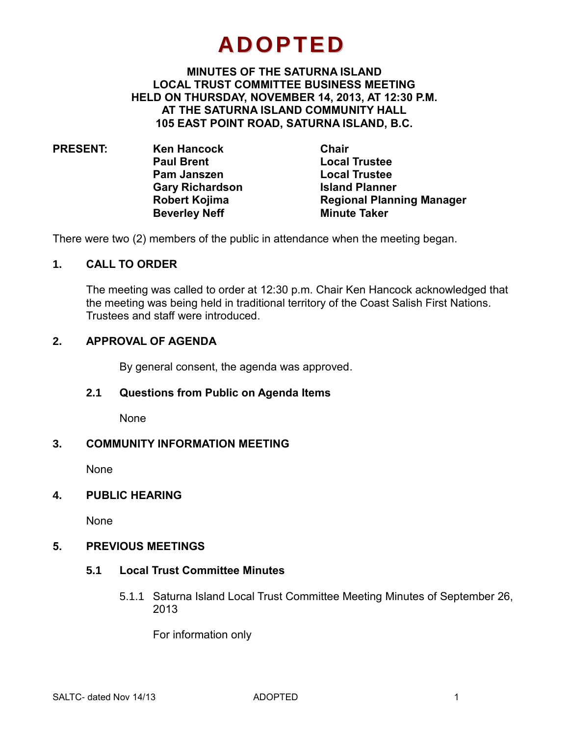# **ADOPTED**

#### **MINUTES OF THE SATURNA ISLAND LOCAL TRUST COMMITTEE BUSINESS MEETING HELD ON THURSDAY, NOVEMBER 14, 2013, AT 12:30 P.M. AT THE SATURNA ISLAND COMMUNITY HALL 105 EAST POINT ROAD, SATURNA ISLAND, B.C.**

**PRESENT: Ken Hancock Chair Paul Brent Local Trustee Pam Janszen Local Trustee Gary Richardson Island Planner Robert Kojima Regional Planning Manager Beverley Neff Minute Taker**

There were two (2) members of the public in attendance when the meeting began.

#### **1. CALL TO ORDER**

The meeting was called to order at 12:30 p.m. Chair Ken Hancock acknowledged that the meeting was being held in traditional territory of the Coast Salish First Nations. Trustees and staff were introduced.

#### **2. APPROVAL OF AGENDA**

By general consent, the agenda was approved.

#### **2.1 Questions from Public on Agenda Items**

None

#### **3. COMMUNITY INFORMATION MEETING**

None

#### **4. PUBLIC HEARING**

None

#### **5. PREVIOUS MEETINGS**

#### **5.1 Local Trust Committee Minutes**

5.1.1 Saturna Island Local Trust Committee Meeting Minutes of September 26, 2013

For information only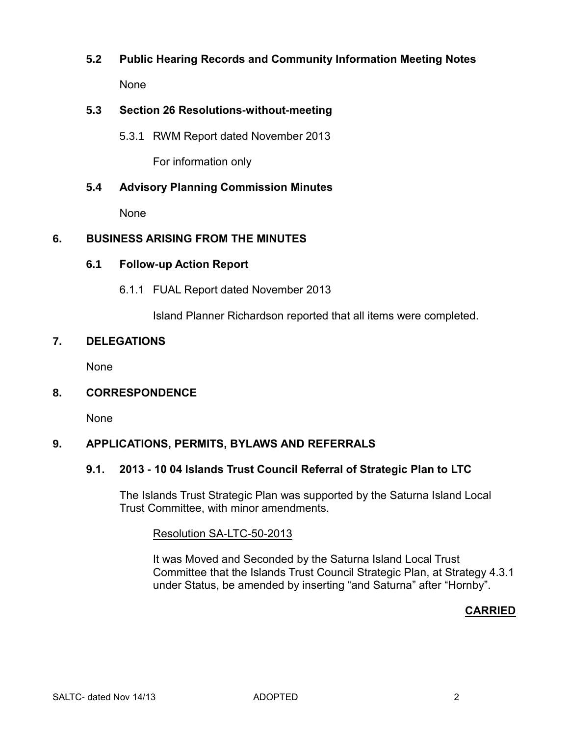# **5.2 Public Hearing Records and Community Information Meeting Notes** None

# **5.3 Section 26 Resolutions-without-meeting**

5.3.1 RWM Report dated November 2013

For information only

# **5.4 Advisory Planning Commission Minutes**

None

# **6. BUSINESS ARISING FROM THE MINUTES**

# **6.1 Follow-up Action Report**

6.1.1 FUAL Report dated November 2013

Island Planner Richardson reported that all items were completed.

# **7. DELEGATIONS**

None

# **8. CORRESPONDENCE**

None

# **9. APPLICATIONS, PERMITS, BYLAWS AND REFERRALS**

# **9.1. 2013 - 10 04 Islands Trust Council Referral of Strategic Plan to LTC**

The Islands Trust Strategic Plan was supported by the Saturna Island Local Trust Committee, with minor amendments.

Resolution SA-LTC-50-2013

It was Moved and Seconded by the Saturna Island Local Trust Committee that the Islands Trust Council Strategic Plan, at Strategy 4.3.1 under Status, be amended by inserting "and Saturna" after "Hornby".

# **CARRIED**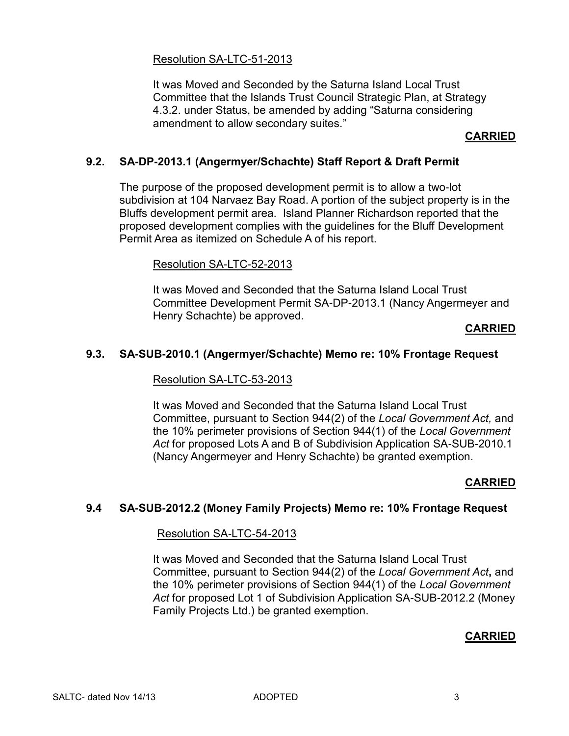# Resolution SA-LTC-51-2013

It was Moved and Seconded by the Saturna Island Local Trust Committee that the Islands Trust Council Strategic Plan, at Strategy 4.3.2. under Status, be amended by adding "Saturna considering amendment to allow secondary suites."

# **CARRIED**

# **9.2. SA-DP-2013.1 (Angermyer/Schachte) Staff Report & Draft Permit**

The purpose of the proposed development permit is to allow a two-lot subdivision at 104 Narvaez Bay Road. A portion of the subject property is in the Bluffs development permit area. Island Planner Richardson reported that the proposed development complies with the guidelines for the Bluff Development Permit Area as itemized on Schedule A of his report.

#### Resolution SA-LTC-52-2013

It was Moved and Seconded that the Saturna Island Local Trust Committee Development Permit SA-DP-2013.1 (Nancy Angermeyer and Henry Schachte) be approved.

#### **CARRIED**

# **9.3. SA-SUB-2010.1 (Angermyer/Schachte) Memo re: 10% Frontage Request**

#### Resolution SA-LTC-53-2013

It was Moved and Seconded that the Saturna Island Local Trust Committee, pursuant to Section 944(2) of the *Local Government Act,* and the 10% perimeter provisions of Section 944(1) of the *Local Government Act* for proposed Lots A and B of Subdivision Application SA-SUB-2010.1 (Nancy Angermeyer and Henry Schachte) be granted exemption.

# **CARRIED**

# **9.4 SA-SUB-2012.2 (Money Family Projects) Memo re: 10% Frontage Request**

#### Resolution SA-LTC-54-2013

It was Moved and Seconded that the Saturna Island Local Trust Committee, pursuant to Section 944(2) of the *Local Government Act***,** and the 10% perimeter provisions of Section 944(1) of the *Local Government Act* for proposed Lot 1 of Subdivision Application SA-SUB-2012.2 (Money Family Projects Ltd.) be granted exemption.

# **CARRIED**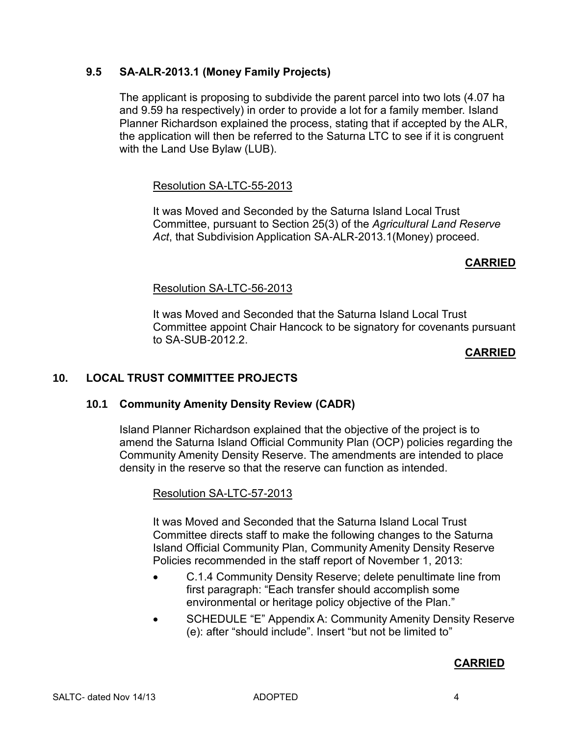# **9.5 SA-ALR-2013.1 (Money Family Projects)**

The applicant is proposing to subdivide the parent parcel into two lots (4.07 ha and 9.59 ha respectively) in order to provide a lot for a family member. Island Planner Richardson explained the process, stating that if accepted by the ALR, the application will then be referred to the Saturna LTC to see if it is congruent with the Land Use Bylaw (LUB).

# Resolution SA-LTC-55-2013

It was Moved and Seconded by the Saturna Island Local Trust Committee, pursuant to Section 25(3) of the *Agricultural Land Reserve Act*, that Subdivision Application SA-ALR-2013.1(Money) proceed.

# **CARRIED**

# Resolution SA-LTC-56-2013

It was Moved and Seconded that the Saturna Island Local Trust Committee appoint Chair Hancock to be signatory for covenants pursuant to SA-SUB-2012.2.

#### **CARRIED**

# **10. LOCAL TRUST COMMITTEE PROJECTS**

# **10.1 Community Amenity Density Review (CADR)**

Island Planner Richardson explained that the objective of the project is to amend the Saturna Island Official Community Plan (OCP) policies regarding the Community Amenity Density Reserve. The amendments are intended to place density in the reserve so that the reserve can function as intended.

# Resolution SA-LTC-57-2013

It was Moved and Seconded that the Saturna Island Local Trust Committee directs staff to make the following changes to the Saturna Island Official Community Plan, Community Amenity Density Reserve Policies recommended in the staff report of November 1, 2013:

- C.1.4 Community Density Reserve; delete penultimate line from first paragraph: "Each transfer should accomplish some environmental or heritage policy objective of the Plan."
- SCHEDULE "E" Appendix A: Community Amenity Density Reserve (e): after "should include". Insert "but not be limited to"

# **CARRIED**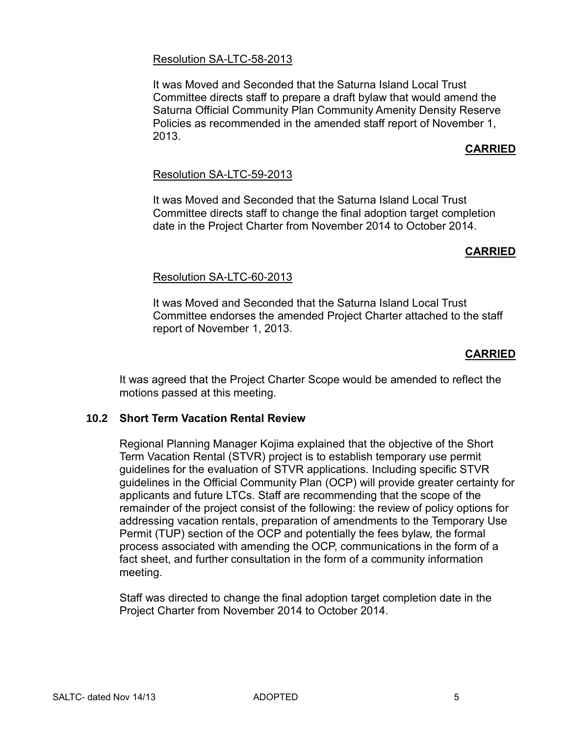#### Resolution SA-LTC-58-2013

It was Moved and Seconded that the Saturna Island Local Trust Committee directs staff to prepare a draft bylaw that would amend the Saturna Official Community Plan Community Amenity Density Reserve Policies as recommended in the amended staff report of November 1, 2013.

# **CARRIED**

# Resolution SA-LTC-59-2013

It was Moved and Seconded that the Saturna Island Local Trust Committee directs staff to change the final adoption target completion date in the Project Charter from November 2014 to October 2014.

# **CARRIED**

# Resolution SA-LTC-60-2013

It was Moved and Seconded that the Saturna Island Local Trust Committee endorses the amended Project Charter attached to the staff report of November 1, 2013.

# **CARRIED**

It was agreed that the Project Charter Scope would be amended to reflect the motions passed at this meeting.

# **10.2 Short Term Vacation Rental Review**

Regional Planning Manager Kojima explained that the objective of the Short Term Vacation Rental (STVR) project is to establish temporary use permit guidelines for the evaluation of STVR applications. Including specific STVR guidelines in the Official Community Plan (OCP) will provide greater certainty for applicants and future LTCs. Staff are recommending that the scope of the remainder of the project consist of the following: the review of policy options for addressing vacation rentals, preparation of amendments to the Temporary Use Permit (TUP) section of the OCP and potentially the fees bylaw, the formal process associated with amending the OCP, communications in the form of a fact sheet, and further consultation in the form of a community information meeting.

Staff was directed to change the final adoption target completion date in the Project Charter from November 2014 to October 2014.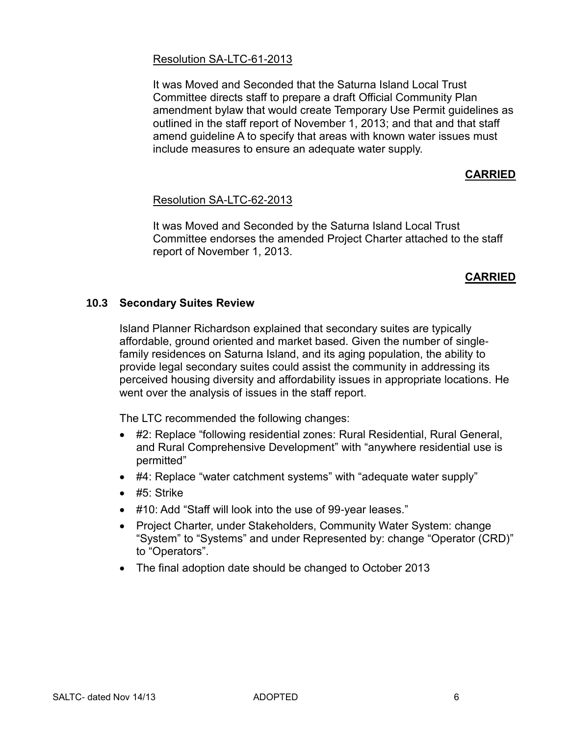#### Resolution SA-LTC-61-2013

It was Moved and Seconded that the Saturna Island Local Trust Committee directs staff to prepare a draft Official Community Plan amendment bylaw that would create Temporary Use Permit guidelines as outlined in the staff report of November 1, 2013; and that and that staff amend guideline A to specify that areas with known water issues must include measures to ensure an adequate water supply.

# **CARRIED**

#### Resolution SA-LTC-62-2013

It was Moved and Seconded by the Saturna Island Local Trust Committee endorses the amended Project Charter attached to the staff report of November 1, 2013.

#### **CARRIED**

#### **10.3 Secondary Suites Review**

Island Planner Richardson explained that secondary suites are typically affordable, ground oriented and market based. Given the number of singlefamily residences on Saturna Island, and its aging population, the ability to provide legal secondary suites could assist the community in addressing its perceived housing diversity and affordability issues in appropriate locations. He went over the analysis of issues in the staff report.

The LTC recommended the following changes:

- #2: Replace "following residential zones: Rural Residential, Rural General, and Rural Comprehensive Development" with "anywhere residential use is permitted"
- #4: Replace "water catchment systems" with "adequate water supply"
- $\bullet$  #5: Strike
- #10: Add "Staff will look into the use of 99-year leases."
- Project Charter, under Stakeholders, Community Water System: change "System" to "Systems" and under Represented by: change "Operator (CRD)" to "Operators".
- The final adoption date should be changed to October 2013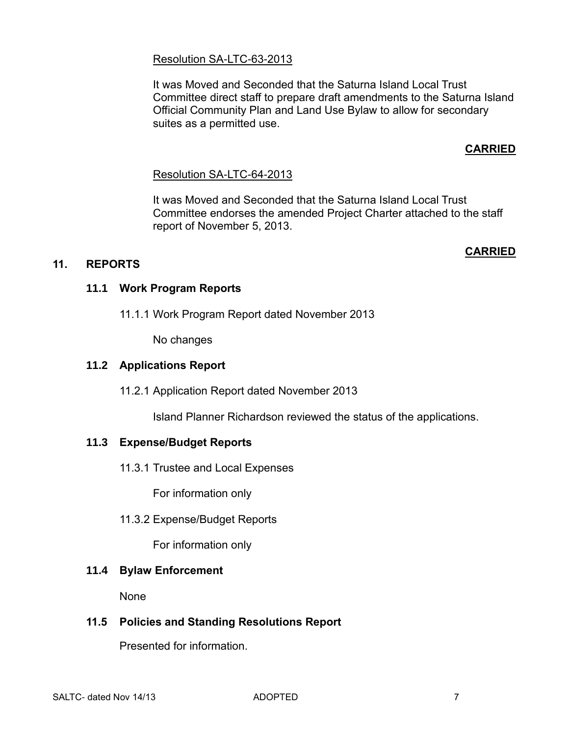# Resolution SA-LTC-63-2013

It was Moved and Seconded that the Saturna Island Local Trust Committee direct staff to prepare draft amendments to the Saturna Island Official Community Plan and Land Use Bylaw to allow for secondary suites as a permitted use.

# **CARRIED**

# Resolution SA-LTC-64-2013

It was Moved and Seconded that the Saturna Island Local Trust Committee endorses the amended Project Charter attached to the staff report of November 5, 2013.

#### **CARRIED**

# **11. REPORTS**

# **11.1 Work Program Reports**

11.1.1 Work Program Report dated November 2013

No changes

#### **11.2 Applications Report**

11.2.1 Application Report dated November 2013

Island Planner Richardson reviewed the status of the applications.

# **11.3 Expense/Budget Reports**

11.3.1 Trustee and Local Expenses

For information only

11.3.2 Expense/Budget Reports

For information only

#### **11.4 Bylaw Enforcement**

None

# **11.5 Policies and Standing Resolutions Report**

Presented for information.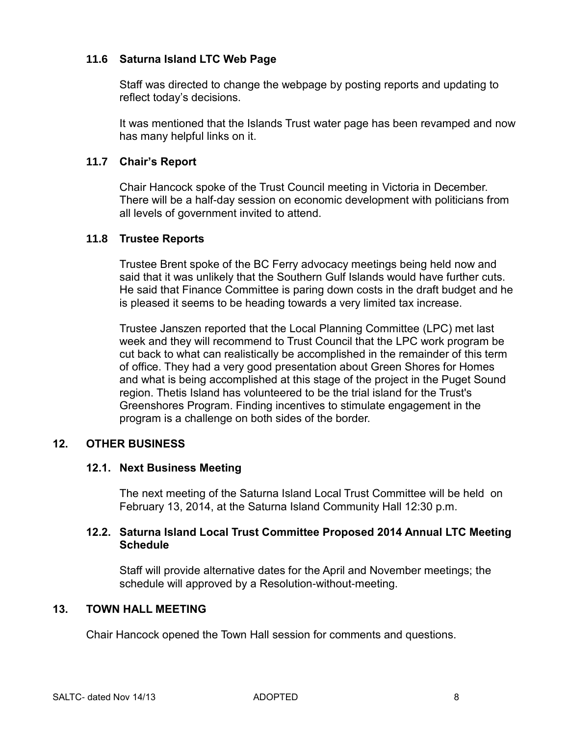# **11.6 Saturna Island LTC Web Page**

Staff was directed to change the webpage by posting reports and updating to reflect today's decisions.

It was mentioned that the Islands Trust water page has been revamped and now has many helpful links on it.

#### **11.7 Chair's Report**

Chair Hancock spoke of the Trust Council meeting in Victoria in December. There will be a half-day session on economic development with politicians from all levels of government invited to attend.

#### **11.8 Trustee Reports**

Trustee Brent spoke of the BC Ferry advocacy meetings being held now and said that it was unlikely that the Southern Gulf Islands would have further cuts. He said that Finance Committee is paring down costs in the draft budget and he is pleased it seems to be heading towards a very limited tax increase.

Trustee Janszen reported that the Local Planning Committee (LPC) met last week and they will recommend to Trust Council that the LPC work program be cut back to what can realistically be accomplished in the remainder of this term of office. They had a very good presentation about Green Shores for Homes and what is being accomplished at this stage of the project in the Puget Sound region. Thetis Island has volunteered to be the trial island for the Trust's Greenshores Program. Finding incentives to stimulate engagement in the program is a challenge on both sides of the border.

# **12. OTHER BUSINESS**

#### **12.1. Next Business Meeting**

The next meeting of the Saturna Island Local Trust Committee will be held on February 13, 2014, at the Saturna Island Community Hall 12:30 p.m.

#### **12.2. Saturna Island Local Trust Committee Proposed 2014 Annual LTC Meeting Schedule**

Staff will provide alternative dates for the April and November meetings; the schedule will approved by a Resolution-without-meeting.

#### **13. TOWN HALL MEETING**

Chair Hancock opened the Town Hall session for comments and questions.